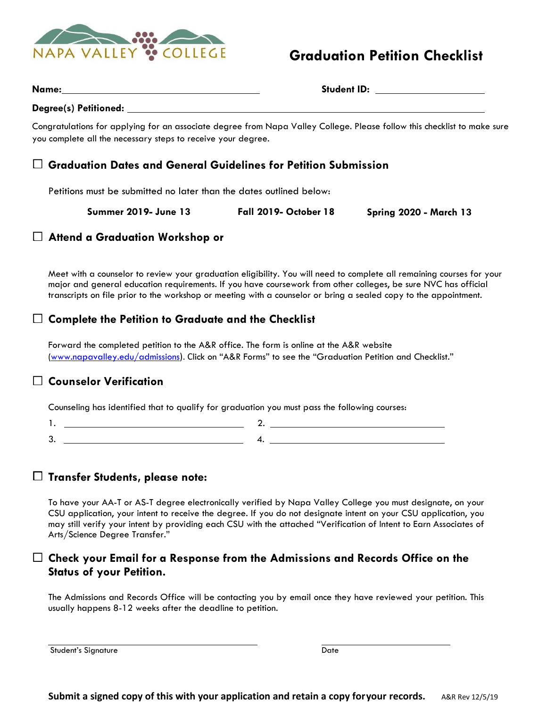

# **Graduation Petition Checklist**

| Name: | <b>Student ID:</b> |
|-------|--------------------|
|       |                    |

**Degree(s) Petitioned:**

Congratulations for applying for an associate degree from Napa Valley College. Please follow this checklist to make sure you complete all the necessary steps to receive your degree.

### **Graduation Dates and General Guidelines for Petition Submission**

Petitions must be submitted no later than the dates outlined below:

**Summer 2019- June 13 Fall 2019- October 18 Spring 2020 - March 13**

#### **Attend a Graduation Workshop or**

Meet with a counselor to review your graduation eligibility. You will need to complete all remaining courses for your major and general education requirements. If you have coursework from other colleges, be sure NVC has official transcripts on file prior to the workshop or meeting with a counselor or bring a sealed copy to the appointment.

#### **Complete the Petition to Graduate and the Checklist**

Forward the completed petition to the A&R office. The form is online at the A&R website [\(www.napavalley.edu/admissions](http://www.napavalley.edu/admissions)). Click on "A&R Forms" to see the "Graduation Petition and Checklist."

### **Counselor Verification**

Counseling has identified that to qualify for graduation you must pass the following courses:

1. 3. 2. 4.

#### **Transfer Students, please note:**

To have your AA-T or AS-T degree electronically verified by Napa Valley College you must designate, on your CSU application, your intent to receive the degree. If you do not designate intent on your CSU application, you may still verify your intent by providing each CSU with the attached "Verification of Intent to Earn Associates of Arts/Science Degree Transfer."

#### **Check your Email for a Response from the Admissions and Records Office on the Status of your Petition.**

The Admissions and Records Office will be contacting you by email once they have reviewed your petition. This usually happens 8-12 weeks after the deadline to petition.

Student's Signature Date Date of the Student's Signature Date of the Date of the Date of the Date of the Date of the Date of the Date of the Date of the Date of the Date of the Date of the Date of the Date of the Date of t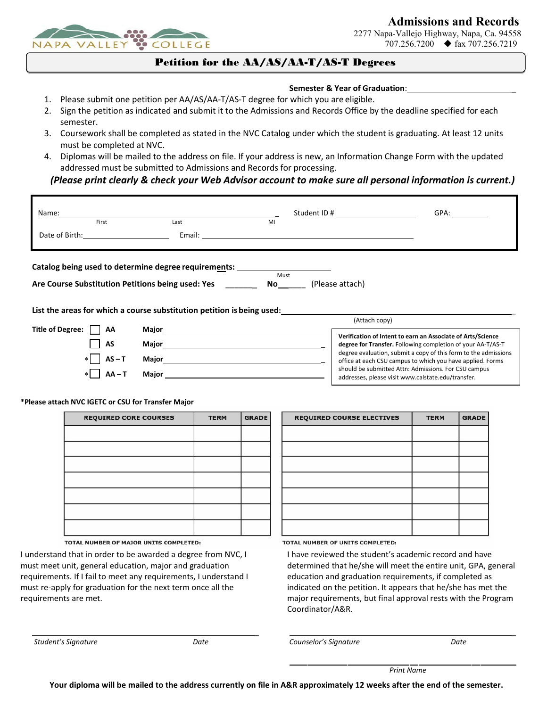

**Admissions and Records** 2277 Napa-Vallejo Highway, Napa, Ca. 94558 707.256.7200 fax 707.256.7219

Petition for the AA/AS/AA-T/AS-T Degrees

- **Semester & Year of Graduation**: \_
- 1. Please submit one petition per AA/AS/AA-T/AS-T degree for which you are eligible.
- 2. Sign the petition as indicated and submit it to the Admissions and Records Office by the deadline specified for each semester.
- 3. Coursework shall be completed as stated in the NVC Catalog under which the student is graduating. At least 12 units must be completed at NVC.
- 4. Diplomas will be mailed to the address on file. If your address is new, an Information Change Form with the updated addressed must be submitted to Admissions and Records for processing.

#### *(Please print clearly & check your Web Advisor account to make sure all personal information is current.)*

|                                                                                                                                                                                                                                                                                                                                                                                                                                                                                                                                                                                                                                                                                                                                                          | Last<br>First                                                                                                 |    | Student ID # _______________________<br>GPA:                                                                                                                                                  |  |  |  |  |
|----------------------------------------------------------------------------------------------------------------------------------------------------------------------------------------------------------------------------------------------------------------------------------------------------------------------------------------------------------------------------------------------------------------------------------------------------------------------------------------------------------------------------------------------------------------------------------------------------------------------------------------------------------------------------------------------------------------------------------------------------------|---------------------------------------------------------------------------------------------------------------|----|-----------------------------------------------------------------------------------------------------------------------------------------------------------------------------------------------|--|--|--|--|
|                                                                                                                                                                                                                                                                                                                                                                                                                                                                                                                                                                                                                                                                                                                                                          |                                                                                                               | MI |                                                                                                                                                                                               |  |  |  |  |
|                                                                                                                                                                                                                                                                                                                                                                                                                                                                                                                                                                                                                                                                                                                                                          |                                                                                                               |    |                                                                                                                                                                                               |  |  |  |  |
| Catalog being used to determine degree requirements:<br>Must<br>(Please attach)<br>Are Course Substitution Petitions being used: Yes<br>$No_{\underline{\hspace{2mm}}\underline{\hspace{2mm}}\underline{\hspace{2mm}}\underline{\hspace{2mm}}\underline{\hspace{2mm}}\underline{\hspace{2mm}}\underline{\hspace{2mm}}\underline{\hspace{2mm}}\underline{\hspace{2mm}}\underline{\hspace{2mm}}\underline{\hspace{2mm}}\underline{\hspace{2mm}}\underline{\hspace{2mm}}\underline{\hspace{2mm}}\underline{\hspace{2mm}}\underline{\hspace{2mm}}\underline{\hspace{2mm}}\underline{\hspace{2mm}}\underline{\hspace{2mm}}\underline{\hspace{2mm}}\underline{\hspace{2mm}}\underline{\hspace{2mm}}\underline{\hspace{2mm}}\underline{\hspace{2mm}}\underline$ |                                                                                                               |    |                                                                                                                                                                                               |  |  |  |  |
|                                                                                                                                                                                                                                                                                                                                                                                                                                                                                                                                                                                                                                                                                                                                                          | List the areas for which a course substitution petition is being used: List the areas are seen to be a set of |    |                                                                                                                                                                                               |  |  |  |  |
|                                                                                                                                                                                                                                                                                                                                                                                                                                                                                                                                                                                                                                                                                                                                                          |                                                                                                               |    | (Attach copy)                                                                                                                                                                                 |  |  |  |  |
| Title of Degree:<br>AA<br>AS                                                                                                                                                                                                                                                                                                                                                                                                                                                                                                                                                                                                                                                                                                                             |                                                                                                               |    | Verification of Intent to earn an Associate of Arts/Science<br>degree for Transfer. Following completion of your AA-T/AS-T<br>degree evaluation, submit a copy of this form to the admissions |  |  |  |  |
| $AS - T$<br>* I                                                                                                                                                                                                                                                                                                                                                                                                                                                                                                                                                                                                                                                                                                                                          |                                                                                                               |    | office at each CSU campus to which you have applied. Forms<br>should be submitted Attn: Admissions. For CSU campus                                                                            |  |  |  |  |
| AA – T                                                                                                                                                                                                                                                                                                                                                                                                                                                                                                                                                                                                                                                                                                                                                   |                                                                                                               |    | addresses, please visit www.calstate.edu/transfer.                                                                                                                                            |  |  |  |  |

#### **\*Please attach NVC IGETC or CSU for Transfer Major**

| <b>REQUIRED CORE COURSES</b> | <b>TERM</b> | <b>GRADE</b> |
|------------------------------|-------------|--------------|
|                              |             |              |
|                              |             |              |
|                              |             |              |
|                              |             |              |
|                              |             |              |
|                              |             |              |
|                              |             |              |

| <b>FOTAL NUMBER OF MAJOR UNITS COMPLETED:</b> |  |  |  |
|-----------------------------------------------|--|--|--|

I understand that in order to be awarded a degree from NVC, I must meet unit, general education, major and graduation requirements. If I fail to meet any requirements, I understand I must re-apply for graduation for the next term once all the requirements are met.

| <b>REQUIRED COURSE ELECTIVES</b> | <b>TERM</b> | <b>GRADE</b> |
|----------------------------------|-------------|--------------|
|                                  |             |              |
|                                  |             |              |
|                                  |             |              |
|                                  |             |              |
|                                  |             |              |
|                                  |             |              |
|                                  |             |              |

TOTAL NUMBER OF UNITS COMPLETED:

I have reviewed the student's academic record and have determined that he/she will meet the entire unit, GPA, general education and graduation requirements, if completed as indicated on the petition. It appears that he/she has met the major requirements, but final approval rests with the Program Coordinator/A&R.

\_ \_

*Student's Signature Date Counselor's Signature Date*

*Print Name*

**Your diploma will be mailed to the address currently on file in A&R approximately 12 weeks after the end of the semester.**